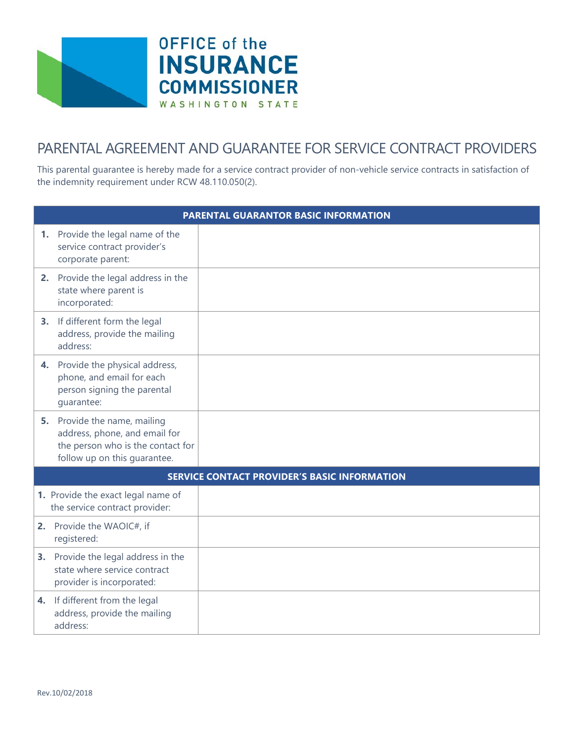



## PARENTAL AGREEMENT AND GUARANTEE FOR SERVICE CONTRACT PROVIDERS

This parental guarantee is hereby made for a service contract provider of non-vehicle service contracts in satisfaction of the indemnity requirement under RCW 48.110.050(2).

| <b>PARENTAL GUARANTOR BASIC INFORMATION</b>         |                                                                                                                                    |  |  |  |
|-----------------------------------------------------|------------------------------------------------------------------------------------------------------------------------------------|--|--|--|
|                                                     | 1. Provide the legal name of the<br>service contract provider's<br>corporate parent:                                               |  |  |  |
| 2.                                                  | Provide the legal address in the<br>state where parent is<br>incorporated:                                                         |  |  |  |
|                                                     | 3. If different form the legal<br>address, provide the mailing<br>address:                                                         |  |  |  |
|                                                     | 4. Provide the physical address,<br>phone, and email for each<br>person signing the parental<br>quarantee:                         |  |  |  |
|                                                     | 5. Provide the name, mailing<br>address, phone, and email for<br>the person who is the contact for<br>follow up on this quarantee. |  |  |  |
| <b>SERVICE CONTACT PROVIDER'S BASIC INFORMATION</b> |                                                                                                                                    |  |  |  |
|                                                     | 1. Provide the exact legal name of<br>the service contract provider:                                                               |  |  |  |
|                                                     | 2. Provide the WAOIC#, if<br>registered:                                                                                           |  |  |  |
| 3.                                                  | Provide the legal address in the<br>state where service contract<br>provider is incorporated:                                      |  |  |  |
|                                                     | 4. If different from the legal<br>address, provide the mailing<br>address:                                                         |  |  |  |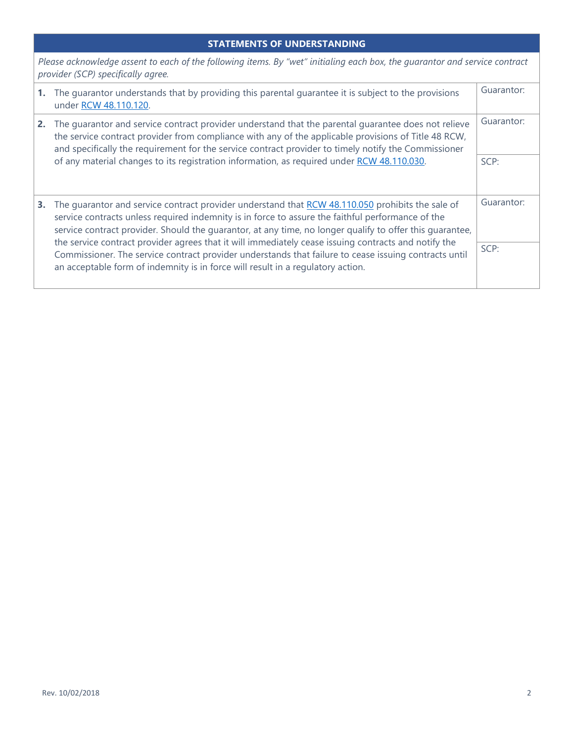## **STATEMENTS OF UNDERSTANDING**

*Please acknowledge assent to each of the following items. By "wet" initialing each box, the guarantor and service contract provider (SCP) specifically agree.*

|    | The guarantor understands that by providing this parental guarantee it is subject to the provisions<br>under RCW 48.110.120.                                                                                                                                                                                                                                                                                                                                                                                                                                                                                          |                    |
|----|-----------------------------------------------------------------------------------------------------------------------------------------------------------------------------------------------------------------------------------------------------------------------------------------------------------------------------------------------------------------------------------------------------------------------------------------------------------------------------------------------------------------------------------------------------------------------------------------------------------------------|--------------------|
| 2. | The quarantor and service contract provider understand that the parental quarantee does not relieve<br>the service contract provider from compliance with any of the applicable provisions of Title 48 RCW,<br>and specifically the requirement for the service contract provider to timely notify the Commissioner<br>of any material changes to its registration information, as required under RCW 48.110.030.                                                                                                                                                                                                     | Guarantor:<br>SCP: |
| З. | The quarantor and service contract provider understand that RCW 48.110.050 prohibits the sale of<br>service contracts unless required indemnity is in force to assure the faithful performance of the<br>service contract provider. Should the guarantor, at any time, no longer qualify to offer this guarantee,<br>the service contract provider agrees that it will immediately cease issuing contracts and notify the<br>Commissioner. The service contract provider understands that failure to cease issuing contracts until<br>an acceptable form of indemnity is in force will result in a regulatory action. | Guarantor:<br>SCP: |
|    |                                                                                                                                                                                                                                                                                                                                                                                                                                                                                                                                                                                                                       |                    |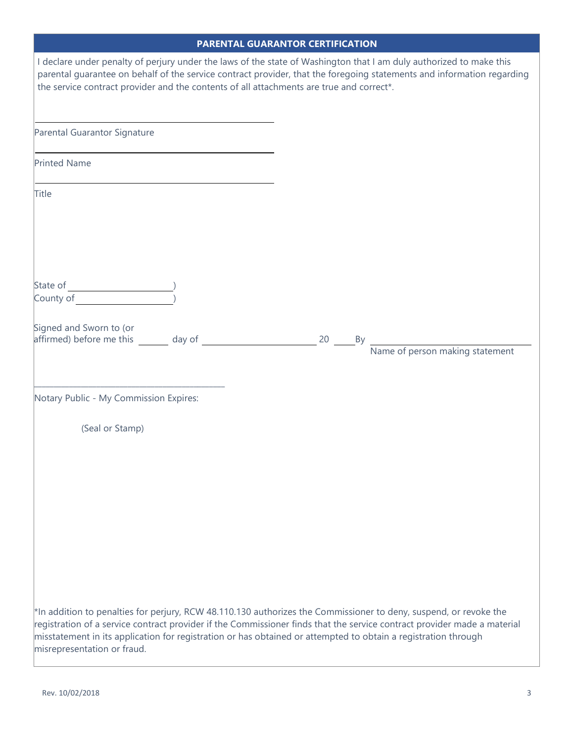| <b>PARENTAL GUARANTOR CERTIFICATION</b>                                                                                                                                                                                                                                                                                                                                                            |  |  |
|----------------------------------------------------------------------------------------------------------------------------------------------------------------------------------------------------------------------------------------------------------------------------------------------------------------------------------------------------------------------------------------------------|--|--|
| I declare under penalty of perjury under the laws of the state of Washington that I am duly authorized to make this<br>parental guarantee on behalf of the service contract provider, that the foregoing statements and information regarding<br>the service contract provider and the contents of all attachments are true and correct*.                                                          |  |  |
| Parental Guarantor Signature                                                                                                                                                                                                                                                                                                                                                                       |  |  |
| <b>Printed Name</b>                                                                                                                                                                                                                                                                                                                                                                                |  |  |
| Title                                                                                                                                                                                                                                                                                                                                                                                              |  |  |
|                                                                                                                                                                                                                                                                                                                                                                                                    |  |  |
| Signed and Sworn to (or<br>Name of person making statement                                                                                                                                                                                                                                                                                                                                         |  |  |
| Notary Public - My Commission Expires:                                                                                                                                                                                                                                                                                                                                                             |  |  |
| (Seal or Stamp)                                                                                                                                                                                                                                                                                                                                                                                    |  |  |
| *In addition to penalties for perjury, RCW 48.110.130 authorizes the Commissioner to deny, suspend, or revoke the<br>registration of a service contract provider if the Commissioner finds that the service contract provider made a material<br>$ $ misstatement in its application for registration or has obtained or attempted to obtain a registration through<br>misrepresentation or fraud. |  |  |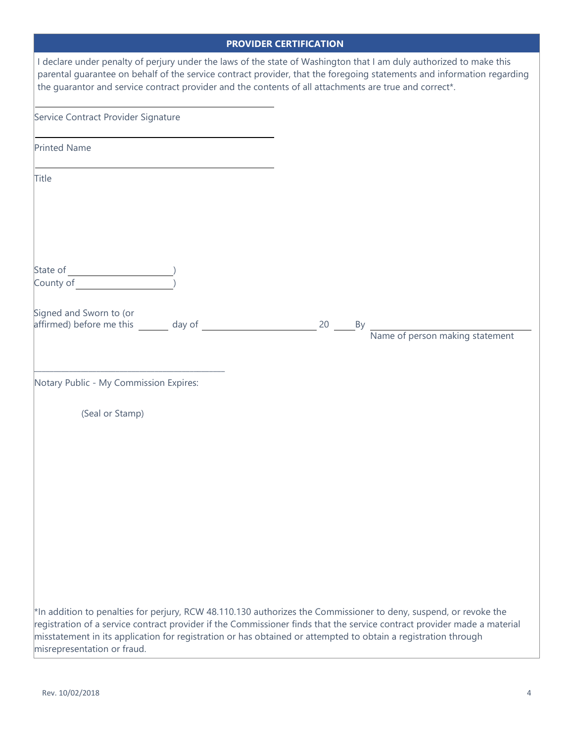| <b>PROVIDER CERTIFICATION</b> |  |  |
|-------------------------------|--|--|
|                               |  |  |

|                                                                                                                                                                                                                                                                                                                                                                                                | <b>TROVIDER SERTIFISATION</b>                                                                                          |
|------------------------------------------------------------------------------------------------------------------------------------------------------------------------------------------------------------------------------------------------------------------------------------------------------------------------------------------------------------------------------------------------|------------------------------------------------------------------------------------------------------------------------|
| I declare under penalty of perjury under the laws of the state of Washington that I am duly authorized to make this<br>the guarantor and service contract provider and the contents of all attachments are true and correct*.                                                                                                                                                                  | parental guarantee on behalf of the service contract provider, that the foregoing statements and information regarding |
| Service Contract Provider Signature                                                                                                                                                                                                                                                                                                                                                            |                                                                                                                        |
| <b>Printed Name</b>                                                                                                                                                                                                                                                                                                                                                                            |                                                                                                                        |
| Title                                                                                                                                                                                                                                                                                                                                                                                          |                                                                                                                        |
| State of $\overline{C_{\text{OUP}}^{\text{OUP}}(C)}$<br>County of                                                                                                                                                                                                                                                                                                                              |                                                                                                                        |
| Signed and Sworn to (or<br>affirmed) before me this day of                                                                                                                                                                                                                                                                                                                                     | 20 By<br>Name of person making statement                                                                               |
| Notary Public - My Commission Expires:                                                                                                                                                                                                                                                                                                                                                         |                                                                                                                        |
| (Seal or Stamp)                                                                                                                                                                                                                                                                                                                                                                                |                                                                                                                        |
|                                                                                                                                                                                                                                                                                                                                                                                                |                                                                                                                        |
|                                                                                                                                                                                                                                                                                                                                                                                                |                                                                                                                        |
|                                                                                                                                                                                                                                                                                                                                                                                                |                                                                                                                        |
| *In addition to penalties for perjury, RCW 48.110.130 authorizes the Commissioner to deny, suspend, or revoke the<br>registration of a service contract provider if the Commissioner finds that the service contract provider made a material<br>misstatement in its application for registration or has obtained or attempted to obtain a registration through<br>misrepresentation or fraud. |                                                                                                                        |